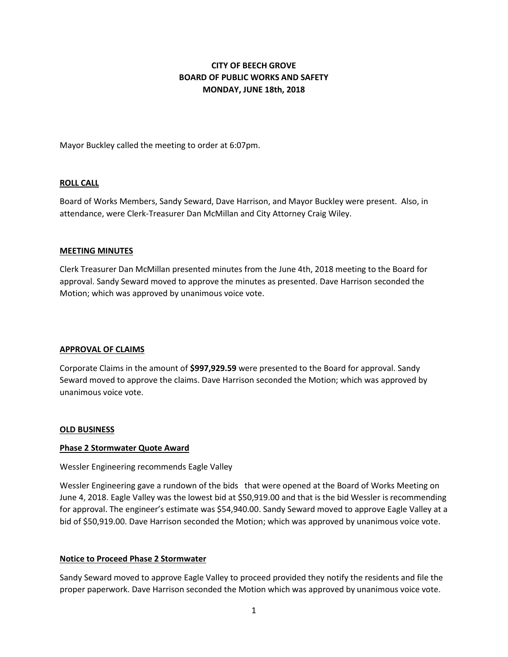# **CITY OF BEECH GROVE BOARD OF PUBLIC WORKS AND SAFETY MONDAY, JUNE 18th, 2018**

Mayor Buckley called the meeting to order at 6:07pm.

## **ROLL CALL**

Board of Works Members, Sandy Seward, Dave Harrison, and Mayor Buckley were present. Also, in attendance, were Clerk-Treasurer Dan McMillan and City Attorney Craig Wiley.

#### **MEETING MINUTES**

Clerk Treasurer Dan McMillan presented minutes from the June 4th, 2018 meeting to the Board for approval. Sandy Seward moved to approve the minutes as presented. Dave Harrison seconded the Motion; which was approved by unanimous voice vote.

#### **APPROVAL OF CLAIMS**

Corporate Claims in the amount of **\$997,929.59** were presented to the Board for approval. Sandy Seward moved to approve the claims. Dave Harrison seconded the Motion; which was approved by unanimous voice vote.

#### **OLD BUSINESS**

#### **Phase 2 Stormwater Quote Award**

## Wessler Engineering recommends Eagle Valley

Wessler Engineering gave a rundown of the bids that were opened at the Board of Works Meeting on June 4, 2018. Eagle Valley was the lowest bid at \$50,919.00 and that is the bid Wessler is recommending for approval. The engineer's estimate was \$54,940.00. Sandy Seward moved to approve Eagle Valley at a bid of \$50,919.00. Dave Harrison seconded the Motion; which was approved by unanimous voice vote.

# **Notice to Proceed Phase 2 Stormwater**

Sandy Seward moved to approve Eagle Valley to proceed provided they notify the residents and file the proper paperwork. Dave Harrison seconded the Motion which was approved by unanimous voice vote.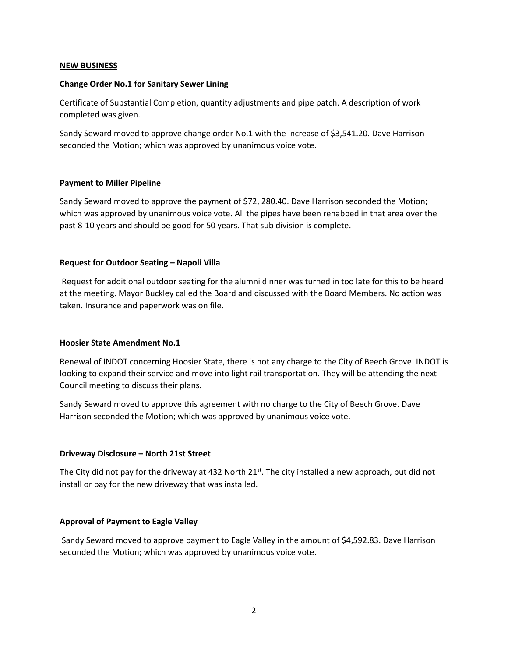## **NEW BUSINESS**

## **Change Order No.1 for Sanitary Sewer Lining**

Certificate of Substantial Completion, quantity adjustments and pipe patch. A description of work completed was given.

Sandy Seward moved to approve change order No.1 with the increase of \$3,541.20. Dave Harrison seconded the Motion; which was approved by unanimous voice vote.

## **Payment to Miller Pipeline**

Sandy Seward moved to approve the payment of \$72, 280.40. Dave Harrison seconded the Motion; which was approved by unanimous voice vote. All the pipes have been rehabbed in that area over the past 8-10 years and should be good for 50 years. That sub division is complete.

# **Request for Outdoor Seating – Napoli Villa**

Request for additional outdoor seating for the alumni dinner was turned in too late for this to be heard at the meeting. Mayor Buckley called the Board and discussed with the Board Members. No action was taken. Insurance and paperwork was on file.

#### **Hoosier State Amendment No.1**

Renewal of INDOT concerning Hoosier State, there is not any charge to the City of Beech Grove. INDOT is looking to expand their service and move into light rail transportation. They will be attending the next Council meeting to discuss their plans.

Sandy Seward moved to approve this agreement with no charge to the City of Beech Grove. Dave Harrison seconded the Motion; which was approved by unanimous voice vote.

# **Driveway Disclosure – North 21st Street**

The City did not pay for the driveway at 432 North  $21^{st}$ . The city installed a new approach, but did not install or pay for the new driveway that was installed.

#### **Approval of Payment to Eagle Valley**

Sandy Seward moved to approve payment to Eagle Valley in the amount of \$4,592.83. Dave Harrison seconded the Motion; which was approved by unanimous voice vote.